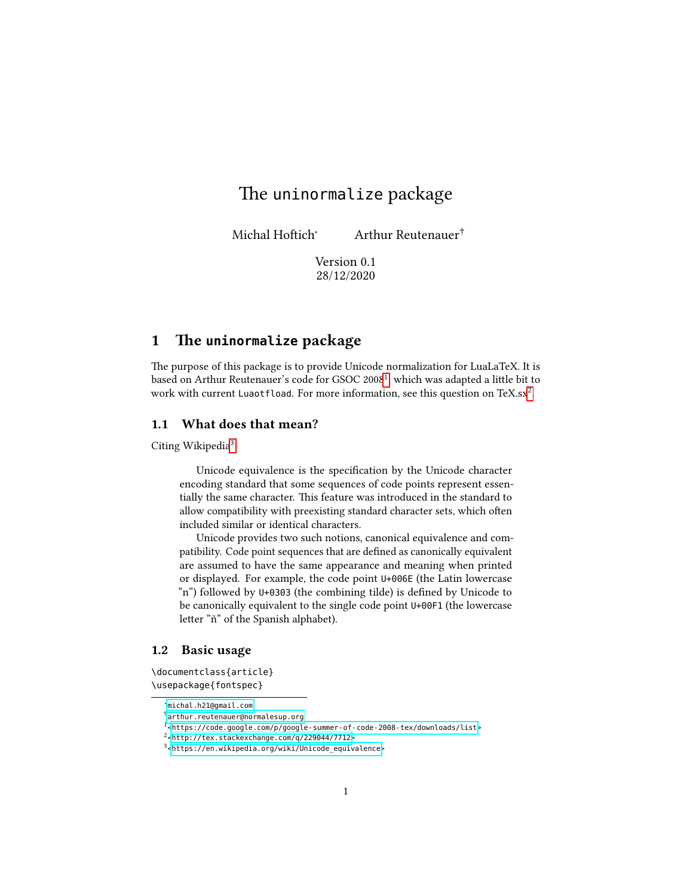# The uninormalize package

Michal Hoftich<sup>∗</sup> Arthur Reutenauer†

Version 0.1 28/12/2020

# 1 The **uninormalize** package

The purpose of this package is to provide Unicode normalization for LuaLaTeX. It is based on Arthur Reutenauer's code for GSOC 2008<sup>[1](#page-0-0)</sup>, which was adapted a little bit to work with current Luaotfload. For more information, see this question on TeX.sx<sup>[2](#page-0-1)</sup>.

## 1.1 What does that mean?

Citing Wikipedia<sup>[3](#page-0-2)</sup>:

Unicode equivalence is the specification by the Unicode character encoding standard that some sequences of code points represent essentially the same character. This feature was introduced in the standard to allow compatibility with preexisting standard character sets, which often included similar or identical characters.

Unicode provides two such notions, canonical equivalence and compatibility. Code point sequences that are defined as canonically equivalent are assumed to have the same appearance and meaning when printed or displayed. For example, the code point U+006E (the Latin lowercase "n") followed by U+0303 (the combining tilde) is defined by Unicode to be canonically equivalent to the single code point U+00F1 (the lowercase letter "ñ" of the Spanish alphabet).

#### 1.2 Basic usage

\documentclass{article} \usepackage{fontspec}

<sup>∗</sup><michal.h21@gmail.com>

<sup>†</sup>[arthur.reutenauer@normalesup.org](arthur.reutenauer@normalesup.org )

<span id="page-0-0"></span><sup>1</sup>[<https://code.google.com/p/google-summer-of-code-2008-tex/downloads/list>](https://code.google.com/p/google-summer-of-code-2008-tex/downloads/list)

<span id="page-0-1"></span> $2$ [<http://tex.stackexchange.com/q/229044/7712>](http://tex.stackexchange.com/q/229044/7712)

<span id="page-0-2"></span><sup>3</sup>[<https://en.wikipedia.org/wiki/Unicode\\_equivalence>](https://en.wikipedia.org/wiki/Unicode_equivalence)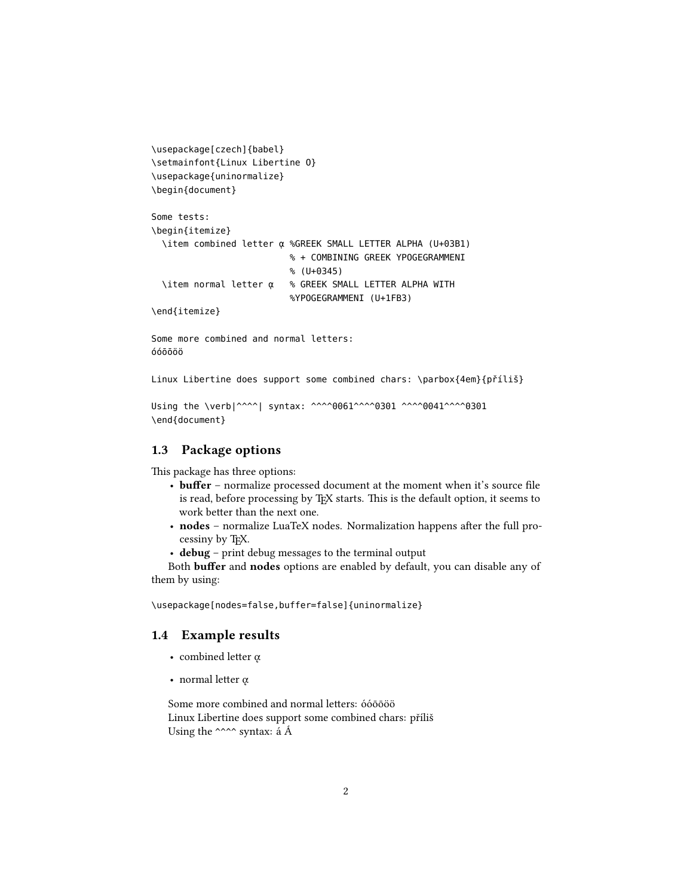```
\usepackage[czech]{babel}
\setmainfont{Linux Libertine O}
\usepackage{uninormalize}
\begin{document}
```

```
Some tests:
\begin{itemize}
  \item combined letter ᾳ %GREEK SMALL LETTER ALPHA (U+03B1)
                          % + COMBINING GREEK YPOGEGRAMMENI
                          % (U+0345)
  \item normal letter ᾳ % GREEK SMALL LETTER ALPHA WITH
                          %YPOGEGRAMMENI (U+1FB3)
```
\end{itemize}

Some more combined and normal letters: óóōōöö

Linux Libertine does support some combined chars: \parbox{4em}{příliš}

```
Using the \verb|^^^^| syntax: ^^^^0061^^^^0301 ^^^^0041^^^^0301
\end{document}
```
# 1.3 Package options

This package has three options:

- buffer normalize processed document at the moment when it's source file is read, before processing by T<sub>E</sub>X starts. This is the default option, it seems to work better than the next one.
- nodes normalize LuaTeX nodes. Normalization happens after the full processiny by TEX.
- debug print debug messages to the terminal output

Both **buffer** and **nodes** options are enabled by default, you can disable any of them by using:

\usepackage[nodes=false,buffer=false]{uninormalize}

### 1.4 Example results

- combined letter  $\alpha$
- normal letter  $\alpha$

Some more combined and normal letters: óóōōöö Linux Libertine does support some combined chars: příliš Using the ^^^^ syntax: á Á